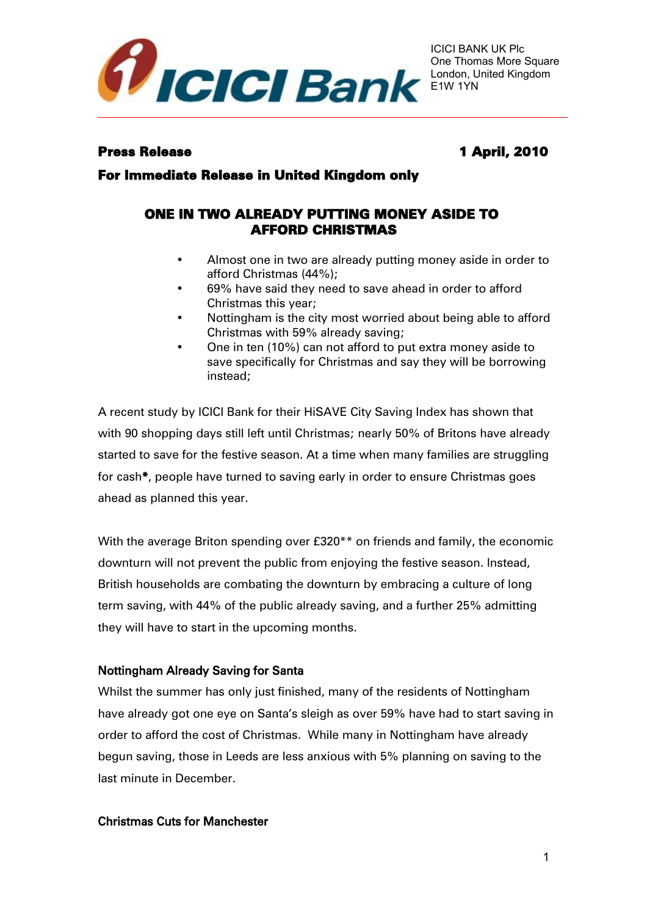

## Press Release 1 April, 2010

For Immediate Release in United Kingdom only

# ONE IN TWO ALREADY PUTTING MONEY ASIDE TO AFFORD CHRISTMAS

- Almost one in two are already putting money aside in order to afford Christmas (44%);
- 69% have said they need to save ahead in order to afford Christmas this year;
- Nottingham is the city most worried about being able to afford Christmas with 59% already saving;
- One in ten (10%) can not afford to put extra money aside to save specifically for Christmas and say they will be borrowing instead;

A recent study by ICICI Bank for their HiSAVE City Saving Index has shown that with 90 shopping days still left until Christmas; nearly 50% of Britons have already started to save for the festive season. At a time when many families are struggling for cash\*, people have turned to saving early in order to ensure Christmas goes ahead as planned this year.

With the average Briton spending over £320\*\* on friends and family, the economic downturn will not prevent the public from enjoying the festive season. Instead, British households are combating the downturn by embracing a culture of long term saving, with 44% of the public already saving, and a further 25% admitting they will have to start in the upcoming months.

## Nottingham Already Saving for Santa

Whilst the summer has only just finished, many of the residents of Nottingham have already got one eye on Santa's sleigh as over 59% have had to start saving in order to afford the cost of Christmas. While many in Nottingham have already begun saving, those in Leeds are less anxious with 5% planning on saving to the last minute in December.

#### Christmas Cuts for Manchester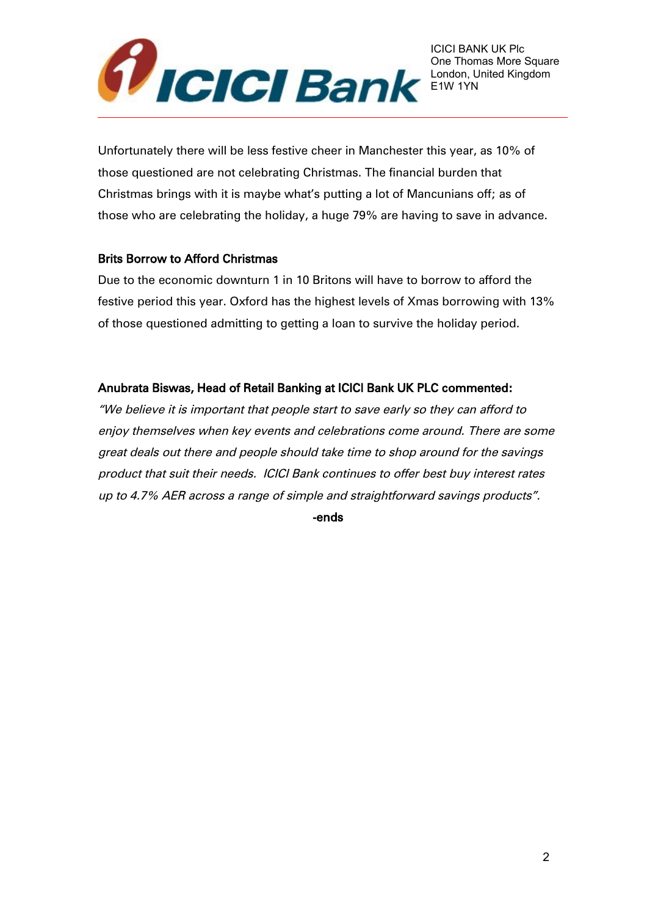

Unfortunately there will be less festive cheer in Manchester this year, as 10% of those questioned are not celebrating Christmas. The financial burden that Christmas brings with it is maybe what's putting a lot of Mancunians off; as of those who are celebrating the holiday, a huge 79% are having to save in advance.

## Brits Borrow to Afford Christmas

Due to the economic downturn 1 in 10 Britons will have to borrow to afford the festive period this year. Oxford has the highest levels of Xmas borrowing with 13% of those questioned admitting to getting a loan to survive the holiday period.

# Anubrata Biswas, Head of Retail Banking at ICICI Bank UK PLC commented:

"We believe it is important that people start to save early so they can afford to enjoy themselves when key events and celebrations come around. There are some great deals out there and people should take time to shop around for the savings product that suit their needs. ICICI Bank continues to offer best buy interest rates up to 4.7% AER across a range of simple and straightforward savings products".

-ends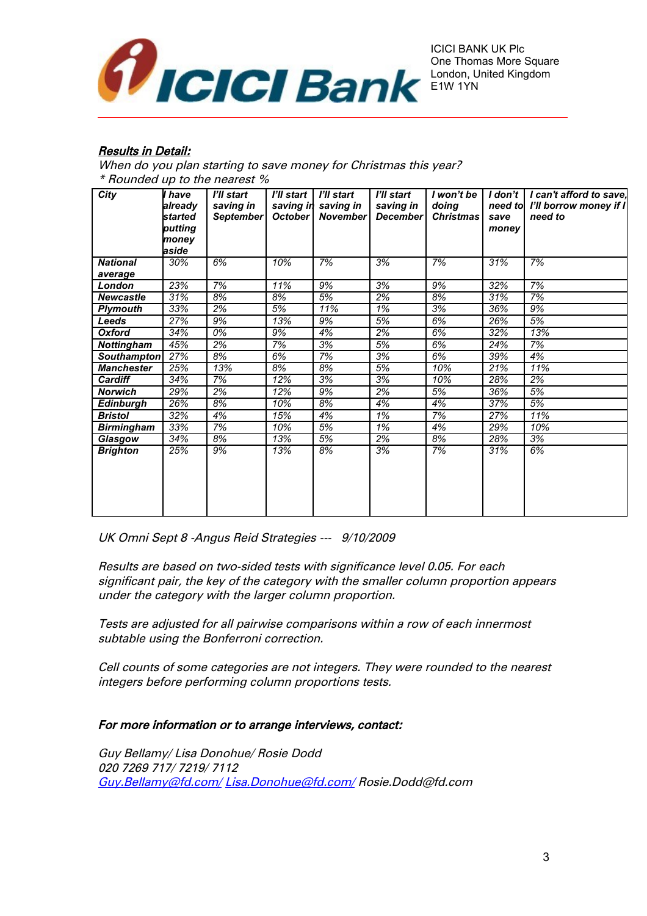

## **Results in Detail:**

When do you plan starting to save money for Christmas this year? \* Rounded up to the nearest %

| City              | l have<br>already | I'll start<br>saving in | I'll start  <br>saving in | <b>T'll start</b><br>saving in | I'll start<br>saving in | I won't be<br>doing |       | $I$ don't   I can't afford to save,<br>need to I'll borrow money if I |
|-------------------|-------------------|-------------------------|---------------------------|--------------------------------|-------------------------|---------------------|-------|-----------------------------------------------------------------------|
|                   | started           | <b>September</b>        | October                   | November                       | <b>December</b>         | <b>Christmas</b>    | save  | need to                                                               |
|                   | putting           |                         |                           |                                |                         |                     | money |                                                                       |
|                   | money             |                         |                           |                                |                         |                     |       |                                                                       |
|                   | aside             |                         |                           |                                |                         |                     |       |                                                                       |
| <b>National</b>   | 30%               | 6%                      | 10%                       | 7%                             | 3%                      | 7%                  | 31%   | 7%                                                                    |
| average           |                   |                         |                           |                                |                         |                     |       |                                                                       |
| London            | 23%               | 7%                      | 11%                       | 9%                             | 3%                      | 9%                  | 32%   | 7%                                                                    |
| <b>Newcastle</b>  | 31%               | 8%                      | 8%                        | 5%                             | 2%                      | 8%                  | 31%   | 7%                                                                    |
| <b>Plymouth</b>   | 33%               | 2%                      | 5%                        | 11%                            | 1%                      | 3%                  | 36%   | 9%                                                                    |
| Leeds             | 27%               | 9%                      | 13%                       | 9%                             | 5%                      | 6%                  | 26%   | 5%                                                                    |
| <b>Oxford</b>     | 34%               | 0%                      | 9%                        | 4%                             | 2%                      | 6%                  | 32%   | 13%                                                                   |
| <b>Nottingham</b> | 45%               | 2%                      | 7%                        | 3%                             | 5%                      | 6%                  | 24%   | 7%                                                                    |
| Southampton       | 27%               | 8%                      | 6%                        | 7%                             | 3%                      | 6%                  | 39%   | 4%                                                                    |
| <b>Manchester</b> | 25%               | 13%                     | 8%                        | 8%                             | 5%                      | 10%                 | 21%   | 11%                                                                   |
| <b>Cardiff</b>    | 34%               | 7%                      | 12%                       | 3%                             | 3%                      | 10%                 | 28%   | 2%                                                                    |
| <b>Norwich</b>    | 29%               | 2%                      | 12%                       | 9%                             | 2%                      | 5%                  | 36%   | 5%                                                                    |
| <b>Edinburgh</b>  | 26%               | 8%                      | 10%                       | 8%                             | 4%                      | 4%                  | 37%   | 5%                                                                    |
| <b>Bristol</b>    | 32%               | 4%                      | 15%                       | 4%                             | 1%                      | 7%                  | 27%   | 11%                                                                   |
| <b>Birmingham</b> | 33%               | 7%                      | 10%                       | 5%                             | 1%                      | 4%                  | 29%   | 10%                                                                   |
| Glasgow           | 34%               | 8%                      | 13%                       | 5%                             | 2%                      | 8%                  | 28%   | 3%                                                                    |
| <b>Brighton</b>   | 25%               | 9%                      | 13%                       | 8%                             | 3%                      | 7%                  | 31%   | 6%                                                                    |
|                   |                   |                         |                           |                                |                         |                     |       |                                                                       |
|                   |                   |                         |                           |                                |                         |                     |       |                                                                       |
|                   |                   |                         |                           |                                |                         |                     |       |                                                                       |
|                   |                   |                         |                           |                                |                         |                     |       |                                                                       |
|                   |                   |                         |                           |                                |                         |                     |       |                                                                       |

UK Omni Sept 8 -Angus Reid Strategies --- 9/10/2009

Results are based on two-sided tests with significance level 0.05. For each significant pair, the key of the category with the smaller column proportion appears under the category with the larger column proportion.

Tests are adjusted for all pairwise comparisons within a row of each innermost subtable using the Bonferroni correction.

Cell counts of some categories are not integers. They were rounded to the nearest integers before performing column proportions tests.

#### For more information or to arrange interviews, contact:

Guy Bellamy/ Lisa Donohue/ Rosie Dodd 020 7269 717/ 7219/ 7112 [Guy.Bellamy@fd.com/](mailto:Guy.Bellamy@fd.com/) [Lisa.Donohue@fd.com/](mailto:Lisa.Donohue@fd.com/) Rosie.Dodd@fd.com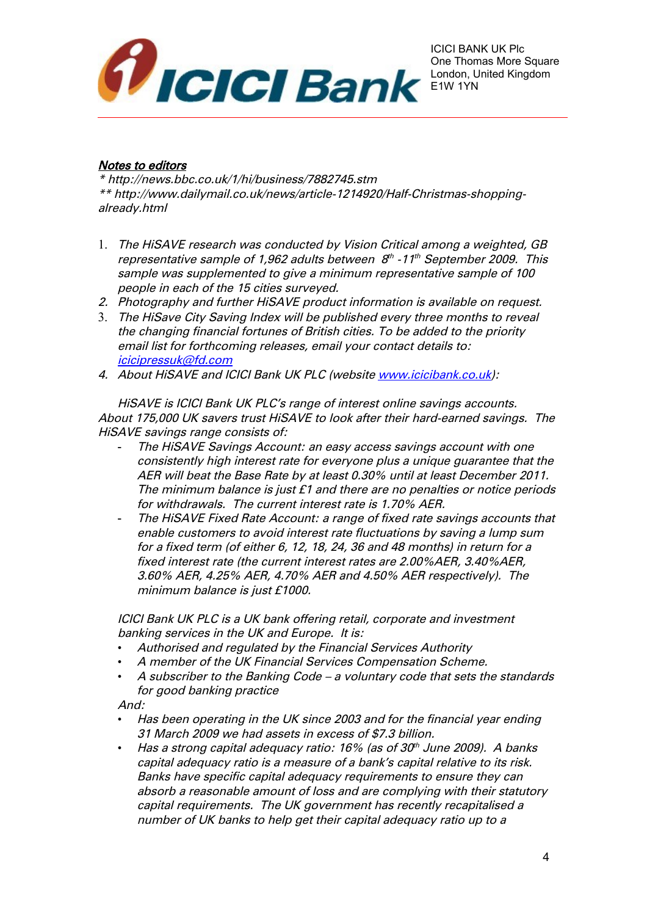

## Notes to editors

\* http://news.bbc.co.uk/1/hi/business/7882745.stm \*\* http://www.dailymail.co.uk/news/article-1214920/Half-Christmas-shoppingalready.html

- 1. The HiSAVE research was conducted by Vision Critical among a weighted, GB representative sample of 1,962 adults between  $\,{\cal B}^{\scriptscriptstyle th}$  -11 $^{\scriptscriptstyle th}$  September 2009. This sample was supplemented to give a minimum representative sample of 100 people in each of the 15 cities surveyed.
- 2. Photography and further HiSAVE product information is available on request.
- 3. The HiSave City Saving Index will be published every three months to reveal the changing financial fortunes of British cities. To be added to the priority email list for forthcoming releases, email your contact details to: [icicipressuk@fd.com](mailto:icicipressuk@fd.com)
- 4. About HiSAVE and ICICI Bank UK PLC (website [www.icicibank.co.uk\)](http://www.icicibank.co.uk/):

HiSAVE is ICICI Bank UK PLC's range of interest online savings accounts. About 175,000 UK savers trust HiSAVE to look after their hard-earned savings. The HiSAVE savings range consists of:

- The HiSAVE Savings Account: an easy access savings account with one consistently high interest rate for everyone plus a unique guarantee that the AER will beat the Base Rate by at least 0.30% until at least December 2011. The minimum balance is just £1 and there are no penalties or notice periods for withdrawals. The current interest rate is 1.70% AER.
- The HiSAVE Fixed Rate Account: a range of fixed rate savings accounts that enable customers to avoid interest rate fluctuations by saving a lump sum for a fixed term (of either 6, 12, 18, 24, 36 and 48 months) in return for a fixed interest rate (the current interest rates are 2.00%AER, 3.40%AER, 3.60% AER, 4.25% AER, 4.70% AER and 4.50% AER respectively). The minimum balance is just £1000.

ICICI Bank UK PLC is a UK bank offering retail, corporate and investment banking services in the UK and Europe. It is:

- Authorised and regulated by the Financial Services Authority
- A member of the UK Financial Services Compensation Scheme.
- A subscriber to the Banking Code a voluntary code that sets the standards for good banking practice

And:

- Has been operating in the UK since 2003 and for the financial year ending 31 March 2009 we had assets in excess of \$7.3 billion.
- Has a strong capital adequacy ratio: 16% (as of 30th June 2009). A banks capital adequacy ratio is a measure of a bank's capital relative to its risk. Banks have specific capital adequacy requirements to ensure they can absorb a reasonable amount of loss and are complying with their statutory capital requirements. The UK government has recently recapitalised a number of UK banks to help get their capital adequacy ratio up to a